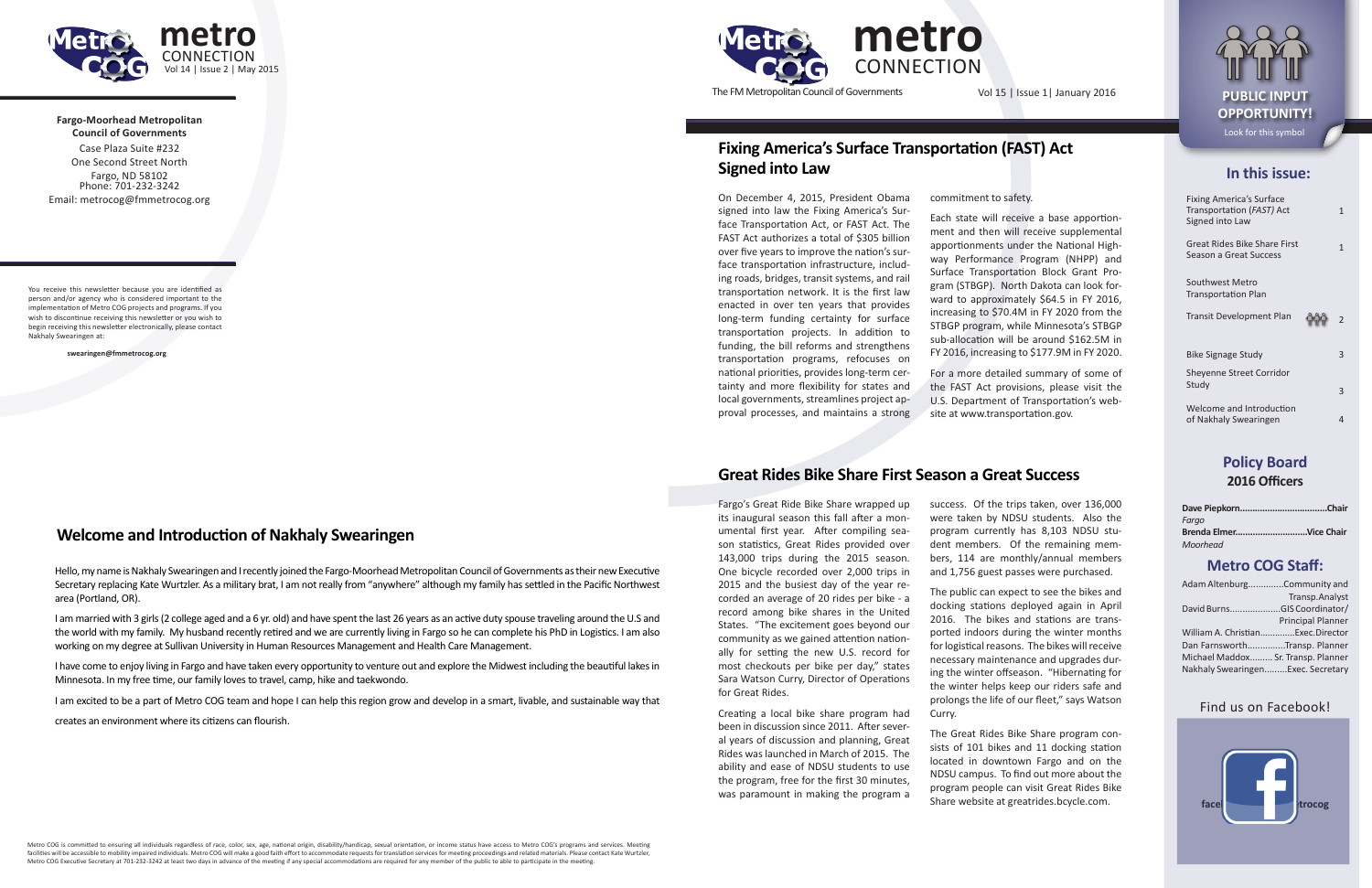### **In this issue:**

| <b>Fixing America's Surface</b><br>Transportation (FAST) Act<br>Signed into Law | 1 |
|---------------------------------------------------------------------------------|---|
| <b>Great Rides Bike Share First</b><br>Season a Great Success                   | 1 |
| Southwest Metro<br><b>Transportation Plan</b>                                   |   |
| Transit Development Plan                                                        | 2 |
| Bike Signage Study                                                              | 3 |
| <b>Sheyenne Street Corridor</b><br>Study                                        | 3 |
| Welcome and Introduction                                                        |   |

of Nakhaly Swearingen 4

**Policy Board 2016 Officers**

| Fargo                  |  |
|------------------------|--|
| Brenda ElmerVice Chair |  |
| Moorhead               |  |

## **Metro COG Staff:**

| Adam AltenburgCommunity and        |                   |
|------------------------------------|-------------------|
|                                    | Transp.Analyst    |
| David BurnsGIS Coordinator/        |                   |
|                                    | Principal Planner |
| William A. ChristianExec.Director  |                   |
| Dan FarnsworthTransp. Planner      |                   |
| Michael Maddox Sr. Transp. Planner |                   |
| Nakhaly SwearingenExec. Secretary  |                   |

### Find us on Facebook!





The FM Metropolitan Council of Governments Vol 15 | Issue 1| January 2016 **PUBLIC INPUT** 

**Fargo-Moorhead Metropolitan Council of Governments** Case Plaza Suite #232



One Second Street North Fargo, ND 58102 Phone: 701-232-3242 Email: metrocog@fmmetrocog.org

You receive this newsletter because you are identified as person and/or agency who is considered important to the implementation of Metro COG projects and programs. If you wish to discontinue receiving this newsletter or you wish to begin receiving this newsletter electronically, please contact Nakhaly Swearingen at:

**swearingen@fmmetrocog.org**

# **OPPORTUNITY!** Look for this symbol

## **Fixing America's Surface Transportation (FAST) Act Signed into Law**

## **Welcome and Introduction of Nakhaly Swearingen**

Hello, my name is Nakhaly Swearingen and I recently joined the Fargo-Moorhead Metropolitan Council of Governments as their new Executive Secretary replacing Kate Wurtzler. As a military brat, I am not really from "anywhere" although my family has settled in the Pacific Northwest area (Portland, OR).

I am married with 3 girls (2 college aged and a 6 yr. old) and have spent the last 26 years as an active duty spouse traveling around the U.S and the world with my family. My husband recently retired and we are currently living in Fargo so he can complete his PhD in Logistics. I am also working on my degree at Sullivan University in Human Resources Management and Health Care Management.

I have come to enjoy living in Fargo and have taken every opportunity to venture out and explore the Midwest including the beautiful lakes in Minnesota. In my free time, our family loves to travel, camp, hike and taekwondo.

I am excited to be a part of Metro COG team and hope I can help this region grow and develop in a smart, livable, and sustainable way that

creates an environment where its citizens can flourish.

On December 4, 2015, President Obama signed into law the Fixing America's Surface Transportation Act, or FAST Act. The FAST Act authorizes a total of \$305 billion over five years to improve the nation's surface transportation infrastructure, including roads, bridges, transit systems, and rail transportation network. It is the first law enacted in over ten years that provides long-term funding certainty for surface transportation projects. In addition to funding, the bill reforms and strengthens transportation programs, refocuses on national priorities, provides long-term certainty and more flexibility for states and local governments, streamlines project approval processes, and maintains a strong

commitment to safety.

Each state will receive a base apportionment and then will receive supplemental apportionments under the National Highway Performance Program (NHPP) and Surface Transportation Block Grant Program (STBGP). North Dakota can look forward to approximately \$64.5 in FY 2016, increasing to \$70.4M in FY 2020 from the STBGP program, while Minnesota's STBGP sub-allocation will be around \$162.5M in FY 2016, increasing to \$177.9M in FY 2020.

For a more detailed summary of some of the FAST Act provisions, please visit the U.S. Department of Transportation's website at www.transportation.gov.

Fargo's Great Ride Bike Share wrapped up its inaugural season this fall after a monumental first year. After compiling season statistics, Great Rides provided over 143,000 trips during the 2015 season. One bicycle recorded over 2,000 trips in 2015 and the busiest day of the year recorded an average of 20 rides per bike - a record among bike shares in the United States. "The excitement goes beyond our community as we gained attention nationally for setting the new U.S. record for most checkouts per bike per day," states Sara Watson Curry, Director of Operations for Great Rides.

Creating a local bike share program had been in discussion since 2011. After several years of discussion and planning, Great Rides was launched in March of 2015. The ability and ease of NDSU students to use the program, free for the first 30 minutes, was paramount in making the program a

success. Of the trips taken, over 136,000 were taken by NDSU students. Also the program currently has 8,103 NDSU student members. Of the remaining members, 114 are monthly/annual members and 1,756 guest passes were purchased.

The public can expect to see the bikes and docking stations deployed again in April 2016. The bikes and stations are transported indoors during the winter months for logistical reasons. The bikes will receive necessary maintenance and upgrades during the winter offseason. "Hibernating for the winter helps keep our riders safe and prolongs the life of our fleet," says Watson Curry.

The Great Rides Bike Share program consists of 101 bikes and 11 docking station located in downtown Fargo and on the NDSU campus. To find out more about the program people can visit Great Rides Bike Share website at greatrides.bcycle.com.

# **Great Rides Bike Share First Season a Great Success**